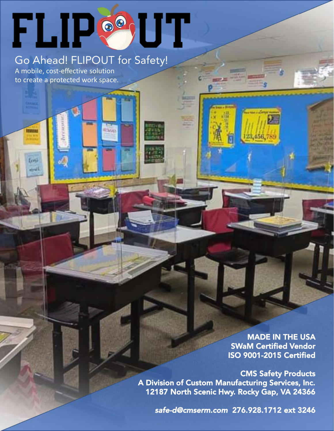## **FLIP®UT**

**ILBEAN** 

## Go Ahead! FLIPOUT for Safety!

A mobile, cost-effective solution to create a protected work space.

**ITEMA** 

Loni الورق

> MADE IN THE USA SWaM Certified Vendor ISO 9001-2015 Certified

23,456,78

CMS Safety Products A Division of Custom Manufacturing Services, Inc. 12187 North Scenic Hwy. Rocky Gap, VA 24366

*safe-d@cmserm.com* 276.928.1712 ext 3246